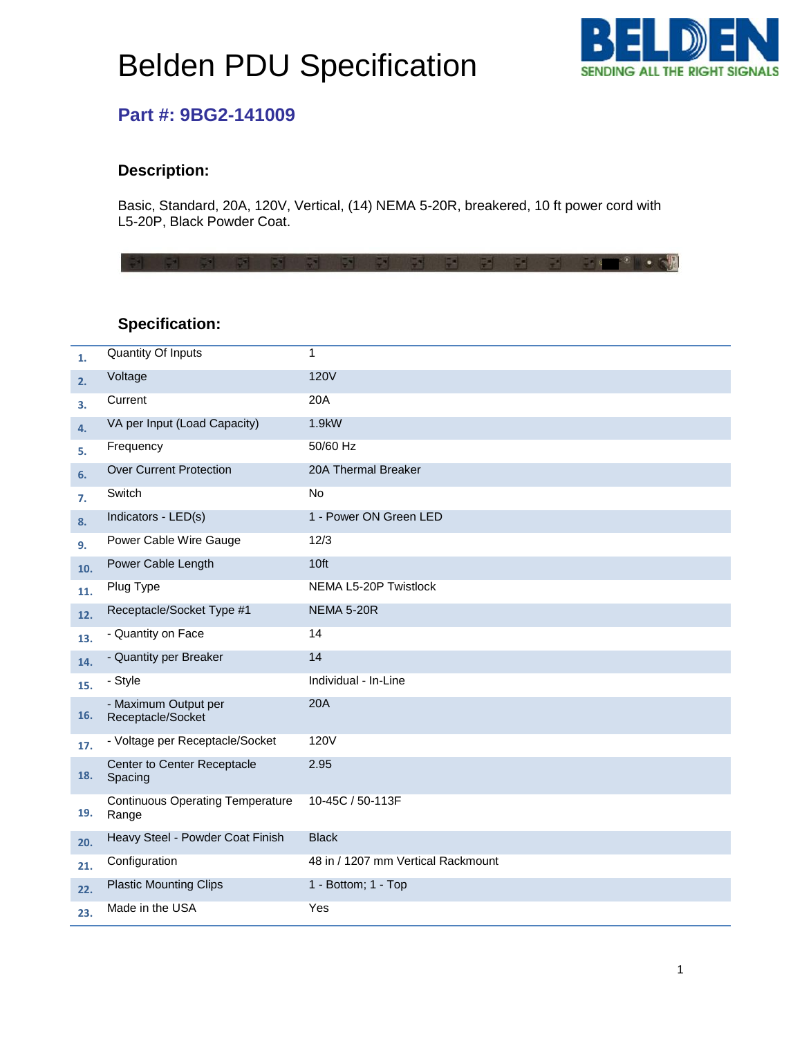# Belden PDU Specification



### **Part #: 9BG2-141009**

#### **Description:**

Basic, Standard, 20A, 120V, Vertical, (14) NEMA 5-20R, breakered, 10 ft power cord with L5-20P, Black Powder Coat.

#### **Specification:**

| 1.  | <b>Quantity Of Inputs</b>                        | $\mathbf{1}$                       |
|-----|--------------------------------------------------|------------------------------------|
| 2.  | Voltage                                          | <b>120V</b>                        |
| 3.  | Current                                          | 20A                                |
| 4.  | VA per Input (Load Capacity)                     | 1.9kW                              |
| 5.  | Frequency                                        | 50/60 Hz                           |
| 6.  | <b>Over Current Protection</b>                   | 20A Thermal Breaker                |
| 7.  | Switch                                           | <b>No</b>                          |
| 8.  | Indicators - LED(s)                              | 1 - Power ON Green LED             |
| 9.  | Power Cable Wire Gauge                           | 12/3                               |
| 10. | Power Cable Length                               | 10ft                               |
| 11. | Plug Type                                        | NEMA L5-20P Twistlock              |
| 12. | Receptacle/Socket Type #1                        | <b>NEMA 5-20R</b>                  |
| 13. | - Quantity on Face                               | 14                                 |
| 14. | - Quantity per Breaker                           | 14                                 |
| 15. | - Style                                          | Individual - In-Line               |
| 16. | - Maximum Output per<br>Receptacle/Socket        | 20A                                |
| 17. | - Voltage per Receptacle/Socket                  | 120V                               |
| 18. | Center to Center Receptacle<br>Spacing           | 2.95                               |
| 19. | <b>Continuous Operating Temperature</b><br>Range | 10-45C / 50-113F                   |
| 20. | Heavy Steel - Powder Coat Finish                 | <b>Black</b>                       |
| 21. | Configuration                                    | 48 in / 1207 mm Vertical Rackmount |
| 22. | <b>Plastic Mounting Clips</b>                    | 1 - Bottom; 1 - Top                |
| 23. | Made in the USA                                  | Yes                                |